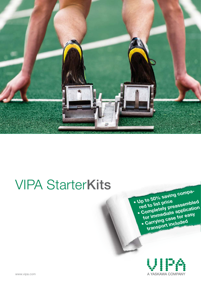

# VIPA StarterKits

 **• Up to 50% saving compared to list price • Completely preassembled for immediate application • Carrying case for easy transport included**

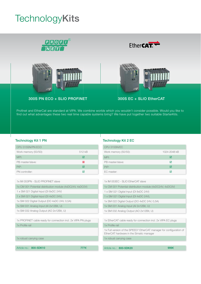## **TechnologyKits**



Profinet and EtherCat are standard at VIPA. We combine worlds which you wouldn´t consider possible. Would you like to find out what advantages these two real time capable systems bring? We have put together two suitable StarterKits.

### Technology Kit 1 PN Technology Kit 2 EC

| CPU 315SN/PN ECO       |        |
|------------------------|--------|
| Work memory (50/50):   | 512 kB |
| MPI:                   | 罓      |
| PB master/slave:       | 図      |
| $P$ <sub>t</sub> $P$ : | ⊠      |
| PN controller:         | 罓      |

1x IM 053PN - SLIO PROFINET slave

1x CM 001 Potential distribution module (4xDC24V, 4xDC0V)

1 x SM 021 Digital Input (DI 8xDC 24V)

1 x SM 021 Digital Input (DI 4xDC 24V),

1x SM 022 Digital Output (DO 4xDC 24V, 0,5A)

1x SM 031 Analog Input (AI 2x12Bit, U)

1x SM 032 Analog Output (AO 2x12Bit, U)

1x PROFINET cable ready for connection incl. 2x VIPA PN plugs 1x Profile rail

1x robust carrying case

Article no.: 800-5DK10 777€

| CPU 315SN/EC           |              |
|------------------------|--------------|
| Work memory (50/50):   | 1024-2048 kB |
| MPI:                   | ⋈            |
| PB master/slave:       | ☑            |
| $P$ <sub>t</sub> $P$ : | ⋈            |
| EC master:             | ⊽            |

| Article no.: 800-5DK20<br>999 $\epsilon$                                                                        |  |
|-----------------------------------------------------------------------------------------------------------------|--|
|                                                                                                                 |  |
| 1x robust carrying case                                                                                         |  |
| 1x Full version of the SPEED7 EtherCAT manager for configuration of<br>EtherCAT hardware in the Simatic manager |  |
| 1x Profile rail                                                                                                 |  |
| 1x EtherCAT cable ready for connection incl. 2x VIPA EC plugs                                                   |  |
|                                                                                                                 |  |
| 1x SM 032 Analog Output (AO 2x12Bit, U)                                                                         |  |
| 1x SM 031 Analog Input (AI 2x12Bit, U)                                                                          |  |
| 1x SM 022 Digital Output (DO 4xDC 24V, 0,5A)                                                                    |  |
| 1 x SM 021 Digital Input (DI 4xDC 24V),                                                                         |  |
| 1 x SM 021 Digital Input (DI 8xDC 24V)                                                                          |  |
| 1x CM 001 Potential distribution module (4xDC24V, 4xDC0V)                                                       |  |
| 1x IM 053EC - SLIO EtherCAT slave                                                                               |  |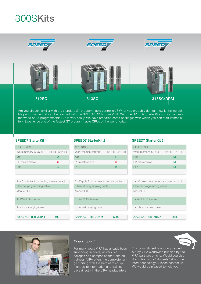## 300SKits



Are you already familiar with the standard S7 programmable controllers? What you probably do not know is the incredible performance that can be reached with the SPEED7 CPUs from VIPA. With the SPEED7 StarterKits you can access the world of S7 programmable CPUs very easily. We have prepared some packages with which you can start immediately. Experience one of the fastest S7 programmable CPUs of the world today.

| CPU 312SC                                 |                | CPU 313SC                  |
|-------------------------------------------|----------------|----------------------------|
| Work memory (50/50):                      | 64 kB - 512 kB | Work memory (50/50):       |
| MPI:                                      | ⊠              | MPI:                       |
| PB master/slave:                          | 図              | PB master/slave:           |
| PtP:                                      | ☑              | PtP:                       |
|                                           |                |                            |
|                                           |                |                            |
| 1x 40 pole front connector, screw contact |                | 2x 40 pole front connector |
| Ethernet programming cable                |                | Ethernet programming cal   |
| Manual CD                                 |                | Manual CD                  |
| 1x WinPLC7 license                        |                | 1x WinPLC7 license         |
| 1x robust carrying case                   |                | 1x robust carrying case    |

Article no.: 800-7DK11 499€

| <b>CPU313SC</b>      |                 |
|----------------------|-----------------|
| Work memory (50/50): | 128 kB - 512 kB |
| MPI:                 | ⋈               |
| PB master/slave:     | ⊠               |
| $P$ t $P$ :          | ⋈               |
|                      |                 |

screw contact Ethernet programming cable

Article no.: 800-7DK21 599€

### SPEED7 StarterKit 1 SPEED7 StarterKit 2 SPEED7 StarterKit 3

| <b>CPU 313SC</b>     |                 |
|----------------------|-----------------|
| Work memory (50/50): | 128 kB - 512 kB |
| MPI:                 | ⊓               |
| PB master/slave:     | ⊠               |
| $P$ t $P$ :          | ⊓               |
|                      |                 |

| 1x 40 pole front connector, screw contact |
|-------------------------------------------|
| Ethernet programming cablel               |
| Manual CD                                 |
| 1x WinPLC7 license                        |
| 1x robust carrying case                   |
|                                           |
| Article no.: 800-7DK31<br>699€            |



### **Easy support!**

For many years VIPA has already been supporting schools, universities, colleges and companies that take on trainees. VIPA offers the complete range starting with the hardware equipment up to information and training days directly in the VIPA headquarters.

This commitment is not only carried out by VIPA worldwide but also by the VIPA partners on site. Would you also like to train your "students" about the latest technology? Please contact us. We would be pleased to help you.